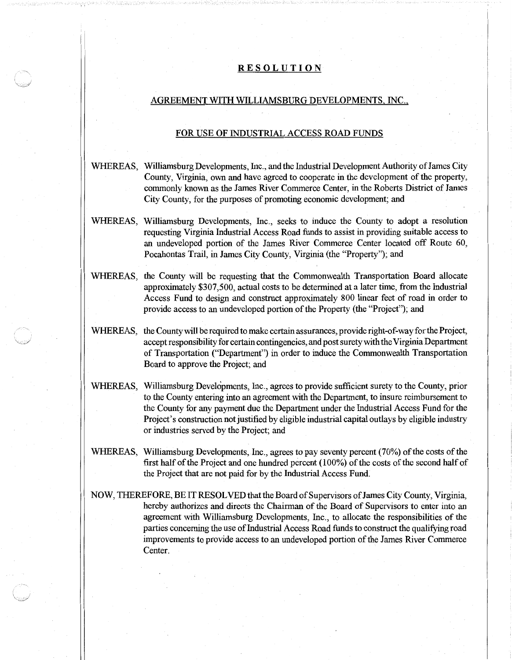## **RESOLUTION**

## AGREEMENT WITH WILLIAMSBURG DEVELOPMENTS, INC.,

## FOR USE OF INDUSTRIAL ACCESS ROAD FUNDS

- WHEREAS, Williamsburg Developments, Inc., and the Industrial Development Authority of James City County, Virginia, own and have agreed to cooperate in the development of the property, commonly known as the James River Commerce Center, in the Roberts District of James City County, for the purposes of promoting economic development; and
- WHEREAS, Williamsburg Developments, Inc., seeks to induce the County to adopt a resolution requesting Virginia Industrial Access Road funds to assist in providing suitable access to an undeveloped portion of the James River Commerce Center located off Route 60, Pocahontas Trail, in James City County, Virginia (the "Property"); and
- WHEREAS, the County will be requesting that the Commonwealth Transportation Board allocate approximately \$307 ,500, actual costs to be determined at a later time, from the Industrial Access Fund to design and construct approximately 800 linear feet of road in order to provide access to an undeveloped portion of the Property (the "Project"); and
- WHEREAS, the County will be required to make certain assurances, provide right-of-way for the Project, accept responsibility for certain contingencies, and post surety with the Virginia Department of Transportation ("Department") in order to induce the Commonwealth Transportation Board to approve the Project; and
- WHEREAS, Williamsburg Developments, Inc., agrees to provide sufficient surety to the County, prior to the County entering into an agreement with the Department, to insure reimbursement to the County for any payment due the Department under the Industrial Access Fund for the Project's construction not justified by eligible industrial capital outlays by eligible industry or industries served by the Project; and
- WHEREAS, Williamsburg Developments, Inc., agrees to pay seventy percent (70%) of the costs of the first half of the Project and one hundred percent (100%) of the costs of the second half of the Project that are not paid for by the Industrial Access Fund.
- NOW, THEREFORE, BE IT RESOLVED thatthe Board of Supervisors ofJames City County, Virginia, hereby authorizes and directs the Chairman of the Board of Supervisors to enter into an agreement with Williamsburg Developments, Inc., to allocate the responsibilities of the parties concerning the use of Industrial Access Road funds to construct the qualifying road improvements to provide access to an undeveloped portion of the James River Commerce Center.